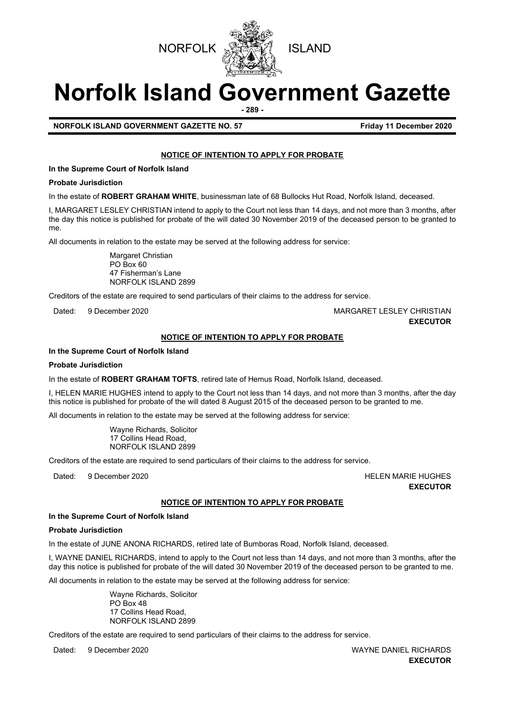



# **Norfolk Island Government Gazette**

**- 289 -**

# **NORFOLK ISLAND GOVERNMENT GAZETTE NO. 57 FIGULARY 11 December 2020**

# **NOTICE OF INTENTION TO APPLY FOR PROBATE**

**In the Supreme Court of Norfolk Island**

# **Probate Jurisdiction**

In the estate of **ROBERT GRAHAM WHITE**, businessman late of 68 Bullocks Hut Road, Norfolk Island*,* deceased.

I, MARGARET LESLEY CHRISTIAN intend to apply to the Court not less than 14 days, and not more than 3 months, after the day this notice is published for probate of the will dated 30 November 2019 of the deceased person to be granted to me.

All documents in relation to the estate may be served at the following address for service:

Margaret Christian PO Box 60 47 Fisherman's Lane NORFOLK ISLAND 2899

Creditors of the estate are required to send particulars of their claims to the address for service.

Dated: 9 December 2020 MARGARET LESLEY CHRISTIAN **EXECUTOR**

# **NOTICE OF INTENTION TO APPLY FOR PROBATE**

# **In the Supreme Court of Norfolk Island**

# **Probate Jurisdiction**

In the estate of **ROBERT GRAHAM TOFTS**, retired late of Hemus Road, Norfolk Island*,* deceased.

I, HELEN MARIE HUGHES intend to apply to the Court not less than 14 days, and not more than 3 months, after the day this notice is published for probate of the will dated 8 August 2015 of the deceased person to be granted to me.

All documents in relation to the estate may be served at the following address for service:

Wayne Richards, Solicitor 17 Collins Head Road, NORFOLK ISLAND 2899

Creditors of the estate are required to send particulars of their claims to the address for service.

Dated: 9 December 2020 **https://www.francheaple.org/controlledge/controlledge/stated/** HELEN MARIE HUGHES

**EXECUTOR** 

# **NOTICE OF INTENTION TO APPLY FOR PROBATE**

# **In the Supreme Court of Norfolk Island**

# **Probate Jurisdiction**

In the estate of JUNE ANONA RICHARDS, retired late of Bumboras Road, Norfolk Island, deceased.

I, WAYNE DANIEL RICHARDS, intend to apply to the Court not less than 14 days, and not more than 3 months, after the day this notice is published for probate of the will dated 30 November 2019 of the deceased person to be granted to me.

All documents in relation to the estate may be served at the following address for service:

Wayne Richards, Solicitor PO Box 48 17 Collins Head Road, NORFOLK ISLAND 2899

Creditors of the estate are required to send particulars of their claims to the address for service.

Dated: 9 December 2020 WAYNE DANIEL RICHARDS **EXECUTOR**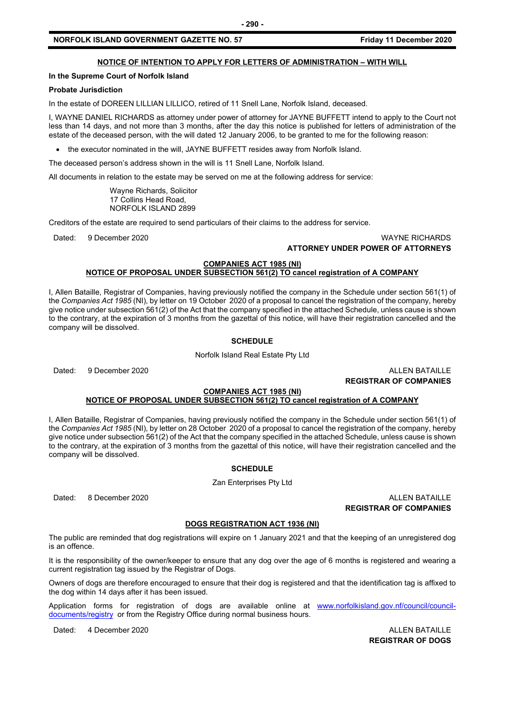# **NOTICE OF INTENTION TO APPLY FOR LETTERS OF ADMINISTRATION – WITH WILL**

# **In the Supreme Court of Norfolk Island**

# **Probate Jurisdiction**

In the estate of DOREEN LILLIAN LILLICO, retired of 11 Snell Lane, Norfolk Island, deceased.

I, WAYNE DANIEL RICHARDS as attorney under power of attorney for JAYNE BUFFETT intend to apply to the Court not less than 14 days, and not more than 3 months, after the day this notice is published for letters of administration of the estate of the deceased person, with the will dated 12 January 2006, to be granted to me for the following reason:

• the executor nominated in the will, JAYNE BUFFETT resides away from Norfolk Island.

The deceased person's address shown in the will is 11 Snell Lane, Norfolk Island*.*

All documents in relation to the estate may be served on me at the following address for service:

Wayne Richards, Solicitor 17 Collins Head Road, NORFOLK ISLAND 2899

Creditors of the estate are required to send particulars of their claims to the address for service.

Dated: 9 December 2020 WAYNE RICHARDS **ATTORNEY UNDER POWER OF ATTORNEYS**

#### **COMPANIES ACT 1985 (NI) NOTICE OF PROPOSAL UNDER SUBSECTION 561(2) TO cancel registration of A COMPANY**

I, Allen Bataille, Registrar of Companies, having previously notified the company in the Schedule under section 561(1) of the *Companies Act 1985* (NI), by letter on 19 October 2020 of a proposal to cancel the registration of the company, hereby give notice under subsection 561(2) of the Act that the company specified in the attached Schedule, unless cause is shown to the contrary, at the expiration of 3 months from the gazettal of this notice, will have their registration cancelled and the company will be dissolved.

# **SCHEDULE**

Norfolk Island Real Estate Pty Ltd

Dated: 9 December 2020 **ALLEN BATAILLE** 

**REGISTRAR OF COMPANIES**

#### **COMPANIES ACT 1985 (NI) NOTICE OF PROPOSAL UNDER SUBSECTION 561(2) TO cancel registration of A COMPANY**

I, Allen Bataille, Registrar of Companies, having previously notified the company in the Schedule under section 561(1) of the *Companies Act 1985* (NI), by letter on 28 October 2020 of a proposal to cancel the registration of the company, hereby give notice under subsection 561(2) of the Act that the company specified in the attached Schedule, unless cause is shown to the contrary, at the expiration of 3 months from the gazettal of this notice, will have their registration cancelled and the company will be dissolved.

# **SCHEDULE**

Zan Enterprises Pty Ltd

Dated: 8 December 2020 ALLEN BATAILLE **REGISTRAR OF COMPANIES**

# **DOGS REGISTRATION ACT 1936 (NI)**

The public are reminded that dog registrations will expire on 1 January 2021 and that the keeping of an unregistered dog is an offence.

It is the responsibility of the owner/keeper to ensure that any dog over the age of 6 months is registered and wearing a current registration tag issued by the Registrar of Dogs.

Owners of dogs are therefore encouraged to ensure that their dog is registered and that the identification tag is affixed to the dog within 14 days after it has been issued.

Application forms for registration of dogs are available online at [www.norfolkisland.gov.nf/council/council](http://www.norfolkisland.gov.nf/council/council-documents/registry)[documents/registry](http://www.norfolkisland.gov.nf/council/council-documents/registry) or from the Registry Office during normal business hours.

Dated: 4 December 2020 ALLEN BATAILLE

**REGISTRAR OF DOGS**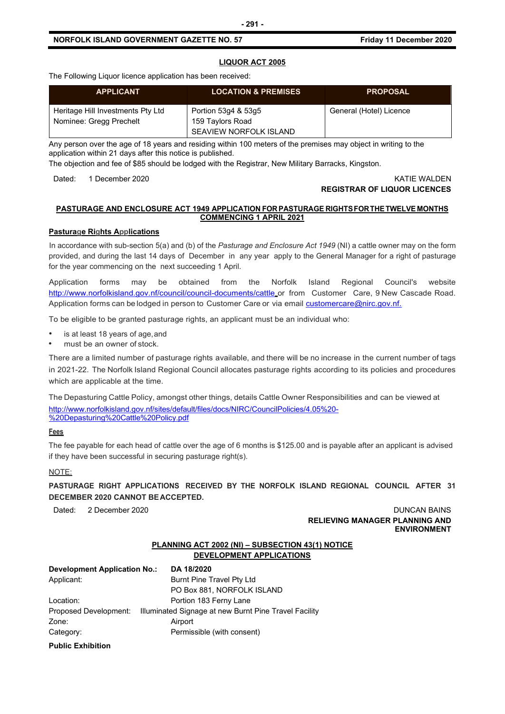The Following Liquor licence application has been received:

| <b>APPLICANT</b>                                             | <b>LOCATION &amp; PREMISES</b>                                    | <b>PROPOSAL</b>         |
|--------------------------------------------------------------|-------------------------------------------------------------------|-------------------------|
| Heritage Hill Investments Pty Ltd<br>Nominee: Gregg Prechelt | Portion 53q4 & 53q5<br>159 Taylors Road<br>SEAVIEW NORFOLK ISLAND | General (Hotel) Licence |

Any person over the age of 18 years and residing within 100 meters of the premises may object in writing to the application within 21 days after this notice is published.

The objection and fee of \$85 should be lodged with the Registrar, New Military Barracks, Kingston.

Dated: 1 December 2020 KATIE WALDEN

# **REGISTRAR OF LIQUOR LICENCES**

# **PASTURAGE AND ENCLOSURE ACT 1949 APPLICATION FOR PASTURAGE RIGHTSFORTHETWELVE MONTHS COMMENCING 1 APRIL 2021**

# **Pasturage Rights Applications**

In accordance with sub-section 5(a) and (b) of the *Pasturage and Enclosure Act 1949* (NI) a cattle owner may on the form provided, and during the last 14 days of December in any year apply to the General Manager for a right of pasturage for the year commencing on the next succeeding 1 April.

Application forms may be obtained from the Norfolk Island Regional Council's website <http://www.norfolkisland.gov.nf/council/council-documents/cattle> or from Customer Care, 9 New Cascade Road. Application forms can be lodged in person to Customer Care or via email [customercare@nirc.gov.nf.](mailto:customercare@nirc.gov.nf.)

To be eligible to be granted pasturage rights, an applicant must be an individual who:

- is at least 18 years of age, and
- must be an owner of stock.

There are a limited number of pasturage rights available, and there will be no increase in the current number of tags in 2021-22. The Norfolk Island Regional Council allocates pasturage rights according to its policies and procedures which are applicable at the time.

The Depasturing Cattle Policy, amongst other things, details Cattle Owner Responsibilities and can be viewed at [http://www.norfolkisland.gov.nf/sites/default/files/docs/NIRC/CouncilPolicies/4.05%20-](http://www.norfolkisland.gov.nf/sites/default/files/docs/NIRC/CouncilPolicies/4.05%20-%20Depasturing%20Cattle%20Policy.pdf) [%20Depasturing%20Cattle%20Policy.pdf](http://www.norfolkisland.gov.nf/sites/default/files/docs/NIRC/CouncilPolicies/4.05%20-%20Depasturing%20Cattle%20Policy.pdf)

# **Fees**

The fee payable for each head of cattle over the age of 6 months is \$125.00 and is payable after an applicant is advised if they have been successful in securing pasturage right(s).

# NOTE:

**PASTURAGE RIGHT APPLICATIONS RECEIVED BY THE NORFOLK ISLAND REGIONAL COUNCIL AFTER 31 DECEMBER 2020 CANNOT BEACCEPTED.**

Dated: 2 December 2020 **Duncan Bains** Duncan Bains **Duncan Bains RELIEVING MANAGER PLANNING AND ENVIRONMENT**

# **PLANNING ACT 2002 (NI) – SUBSECTION 43(1) NOTICE DEVELOPMENT APPLICATIONS**

| Development Application No.: | DA 18/2020                                            |  |
|------------------------------|-------------------------------------------------------|--|
| Applicant:                   | Burnt Pine Travel Pty Ltd                             |  |
|                              | PO Box 881, NORFOLK ISLAND                            |  |
| Location:                    | Portion 183 Ferny Lane                                |  |
| Proposed Development:        | Illuminated Signage at new Burnt Pine Travel Facility |  |
| Zone:                        | Airport                                               |  |
| Category:                    | Permissible (with consent)                            |  |
|                              |                                                       |  |

**Public Exhibition**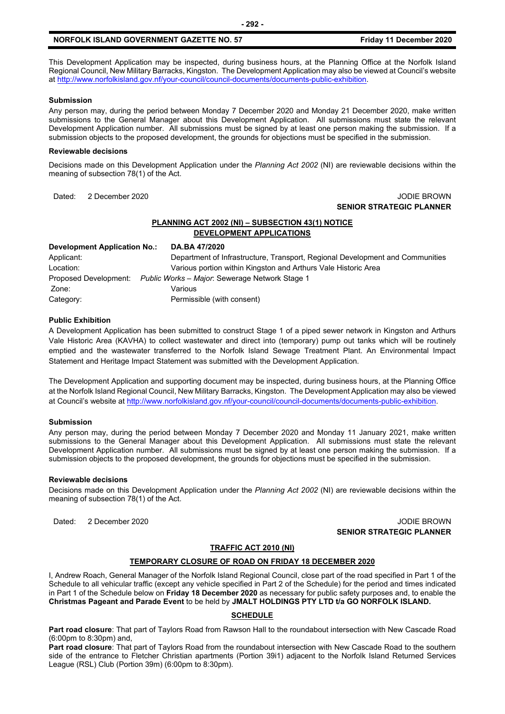This Development Application may be inspected, during business hours, at the Planning Office at the Norfolk Island Regional Council, New Military Barracks, Kingston. The Development Application may also be viewed at Council's website a[t http://www.norfolkisland.gov.nf/your-council/council-documents/documents-public-exhibition.](http://www.norfolkisland.gov.nf/your-council/council-documents/documents-public-exhibition)

# **Submission**

Any person may, during the period between Monday 7 December 2020 and Monday 21 December 2020, make written submissions to the General Manager about this Development Application. All submissions must state the relevant Development Application number. All submissions must be signed by at least one person making the submission. If a submission objects to the proposed development, the grounds for objections must be specified in the submission.

#### **Reviewable decisions**

Decisions made on this Development Application under the *Planning Act 2002* (NI) are reviewable decisions within the meaning of subsection 78(1) of the Act.

# Dated: 2 December 2020 JODIE BROWN **SENIOR STRATEGIC PLANNER**

# **PLANNING ACT 2002 (NI) – SUBSECTION 43(1) NOTICE DEVELOPMENT APPLICATIONS**

| Development Application No.: | DA.BA 47/2020                                                                 |
|------------------------------|-------------------------------------------------------------------------------|
| Applicant:                   | Department of Infrastructure, Transport, Regional Development and Communities |
| Location:                    | Various portion within Kingston and Arthurs Vale Historic Area                |
| Proposed Development:        | Public Works - Major: Sewerage Network Stage 1                                |
| Zone:                        | Various                                                                       |
| Category:                    | Permissible (with consent)                                                    |

# **Public Exhibition**

A Development Application has been submitted to construct Stage 1 of a piped sewer network in Kingston and Arthurs Vale Historic Area (KAVHA) to collect wastewater and direct into (temporary) pump out tanks which will be routinely emptied and the wastewater transferred to the Norfolk Island Sewage Treatment Plant. An Environmental Impact Statement and Heritage Impact Statement was submitted with the Development Application.

The Development Application and supporting document may be inspected, during business hours, at the Planning Office at the Norfolk Island Regional Council, New Military Barracks, Kingston. The Development Application may also be viewed at Council's website a[t http://www.norfolkisland.gov.nf/your-council/council-documents/documents-public-exhibition.](http://www.norfolkisland.gov.nf/your-council/council-documents/documents-public-exhibition)

# **Submission**

Any person may, during the period between Monday 7 December 2020 and Monday 11 January 2021, make written submissions to the General Manager about this Development Application. All submissions must state the relevant Development Application number. All submissions must be signed by at least one person making the submission. If a submission objects to the proposed development, the grounds for objections must be specified in the submission.

# **Reviewable decisions**

Decisions made on this Development Application under the *Planning Act 2002* (NI) are reviewable decisions within the meaning of subsection 78(1) of the Act.

Dated: 2 December 2020 JODIE BROWN **SENIOR STRATEGIC PLANNER** 

#### **TRAFFIC ACT 2010 (NI)**

# **TEMPORARY CLOSURE OF ROAD ON FRIDAY 18 DECEMBER 2020**

I, Andrew Roach, General Manager of the Norfolk Island Regional Council, close part of the road specified in Part 1 of the Schedule to all vehicular traffic (except any vehicle specified in Part 2 of the Schedule) for the period and times indicated in Part 1 of the Schedule below on **Friday 18 December 2020** as necessary for public safety purposes and, to enable the **Christmas Pageant and Parade Event** to be held by **JMALT HOLDINGS PTY LTD t/a GO NORFOLK ISLAND.**

# **SCHEDULE**

**Part road closure**: That part of Taylors Road from Rawson Hall to the roundabout intersection with New Cascade Road (6:00pm to 8:30pm) and,

**Part road closure**: That part of Taylors Road from the roundabout intersection with New Cascade Road to the southern side of the entrance to Fletcher Christian apartments (Portion 39i1) adjacent to the Norfolk Island Returned Services League (RSL) Club (Portion 39m) (6:00pm to 8:30pm).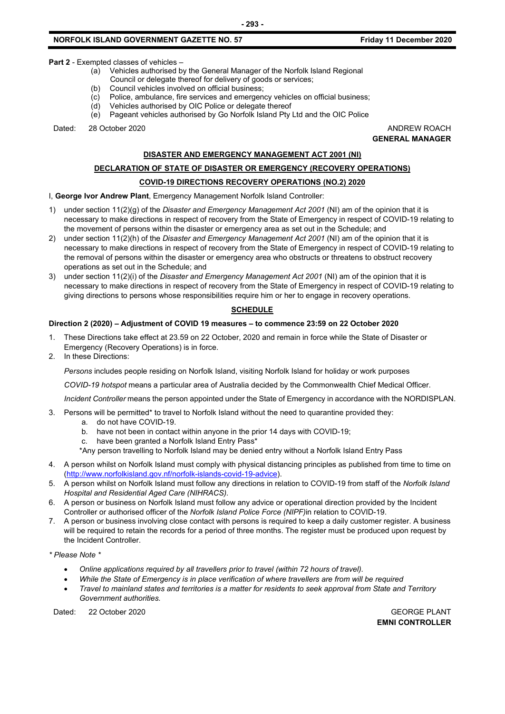**Part 2** - Exempted classes of vehicles –

- (a) Vehicles authorised by the General Manager of the Norfolk Island Regional
- Council or delegate thereof for delivery of goods or services;<br>(b) Council vehicles involved on official business;
- Council vehicles involved on official business;
- (c) Police, ambulance, fire services and emergency vehicles on official business;
- (d) Vehicles authorised by OIC Police or delegate thereof
- (e) Pageant vehicles authorised by Go Norfolk Island Pty Ltd and the OIC Police

Dated: 28 October 2020 ANDREW ROACH

**GENERAL MANAGER**

# **DISASTER AND EMERGENCY MANAGEMENT ACT 2001 (NI)**

# **DECLARATION OF STATE OF DISASTER OR EMERGENCY (RECOVERY OPERATIONS)**

# **COVID-19 DIRECTIONS RECOVERY OPERATIONS (NO.2) 2020**

# I, **George Ivor Andrew Plant**, Emergency Management Norfolk Island Controller:

- 1) under section 11(2)(g) of the *Disaster and Emergency Management Act 2001* (NI) am of the opinion that it is necessary to make directions in respect of recovery from the State of Emergency in respect of COVID-19 relating to the movement of persons within the disaster or emergency area as set out in the Schedule; and
- 2) under section 11(2)(h) of the *Disaster and Emergency Management Act 2001* (NI) am of the opinion that it is necessary to make directions in respect of recovery from the State of Emergency in respect of COVID-19 relating to the removal of persons within the disaster or emergency area who obstructs or threatens to obstruct recovery operations as set out in the Schedule; and
- 3) under section 11(2)(i) of the *Disaster and Emergency Management Act 2001* (NI) am of the opinion that it is necessary to make directions in respect of recovery from the State of Emergency in respect of COVID-19 relating to giving directions to persons whose responsibilities require him or her to engage in recovery operations.

# **SCHEDULE**

# **Direction 2 (2020) – Adjustment of COVID 19 measures – to commence 23:59 on 22 October 2020**

- 1. These Directions take effect at 23.59 on 22 October, 2020 and remain in force while the State of Disaster or Emergency (Recovery Operations) is in force.
- 2. In these Directions:

*Persons* includes people residing on Norfolk Island, visiting Norfolk Island for holiday or work purposes

*COVID-19 hotspot* means a particular area of Australia decided by the Commonwealth Chief Medical Officer.

*Incident Controller* means the person appointed under the State of Emergency in accordance with the NORDISPLAN.

- 3. Persons will be permitted\* to travel to Norfolk Island without the need to quarantine provided they:
	- a. do not have COVID-19.
	- b. have not been in contact within anyone in the prior 14 days with COVID-19;
	- c. have been granted a Norfolk Island Entry Pass\*
	- \*Any person travelling to Norfolk Island may be denied entry without a Norfolk Island Entry Pass
- 4. A person whilst on Norfolk Island must comply with physical distancing principles as published from time to time on [\(http://www.norfolkisland.gov.nf/norfolk-islands-covid-19-advice\)](http://www.norfolkisland.gov.nf/norfolk-islands-covid-19-advice).
- 5. A person whilst on Norfolk Island must follow any directions in relation to COVID-19 from staff of the *Norfolk Island Hospital and Residential Aged Care (NIHRACS).*
- 6. A person or business on Norfolk Island must follow any advice or operational direction provided by the Incident Controller or authorised officer of the *Norfolk Island Police Force (NIPF)*in relation to COVID-19.
- 7. A person or business involving close contact with persons is required to keep a daily customer register. A business will be required to retain the records for a period of three months. The register must be produced upon request by the Incident Controller.

*\* Please Note \** 

- *Online applications required by all travellers prior to travel (within 72 hours of travel).*
- *While the State of Emergency is in place verification of where travellers are from will be required*
- *Travel to mainland states and territories is a matter for residents to seek approval from State and Territory Government authorities.*

Dated: 22 October 2020 GEORGE PLANT

**EMNI CONTROLLER**